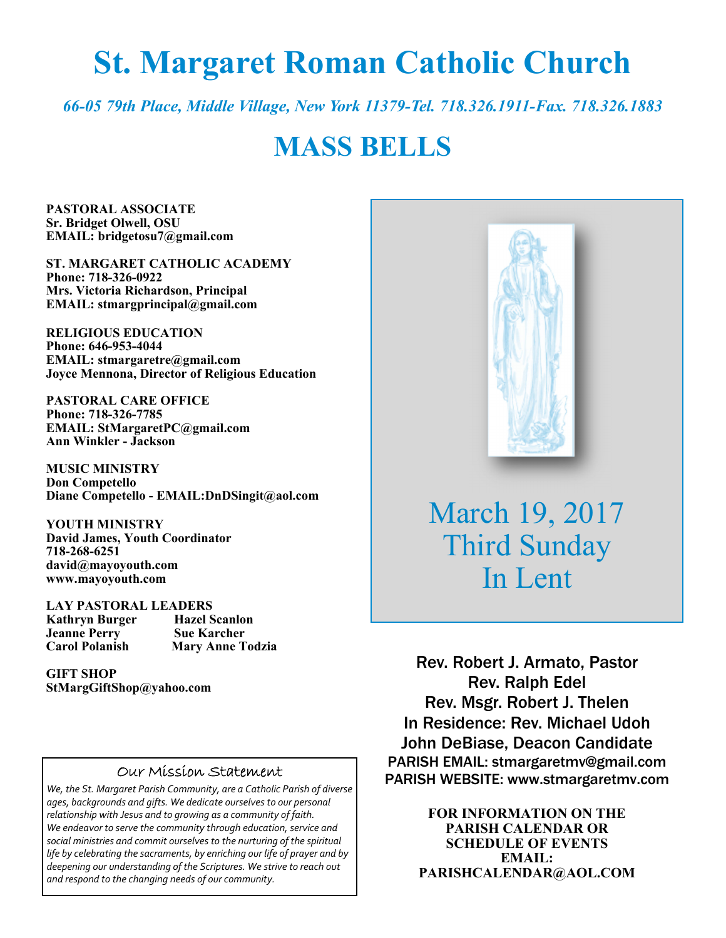# **St. Margaret Roman Catholic Church**

*66-05 79th Place, Middle Village, New York 11379-Tel. 718.326.1911-Fax. 718.326.1883* 

# **MASS BELLS**

**PASTORAL ASSOCIATE Sr. Bridget Olwell, OSU EMAIL: bridgetosu7@gmail.com** 

**ST. MARGARET CATHOLIC ACADEMY Phone: 718-326-0922 Mrs. Victoria Richardson, Principal EMAIL: stmargprincipal@gmail.com** 

**RELIGIOUS EDUCATION Phone: 646-953-4044 EMAIL: stmargaretre@gmail.com Joyce Mennona, Director of Religious Education** 

**PASTORAL CARE OFFICE Phone: 718-326-7785 EMAIL: StMargaretPC@gmail.com Ann Winkler - Jackson** 

**MUSIC MINISTRY Don Competello Diane Competello - EMAIL:DnDSingit@aol.com** 

**YOUTH MINISTRY David James, Youth Coordinator 718-268-6251 david@mayoyouth.com www.mayoyouth.com** 

**LAY PASTORAL LEADERS Kathryn Burger Hazel Scanlon Jeanne Perry Carol Polanish Mary Anne Todzia** 

**GIFT SHOP StMargGiftShop@yahoo.com**

#### Our Mission Statement

*We, the St. Margaret Parish Community, are a Catholic Parish of diverse ages, backgrounds and gifts. We dedicate ourselves to our personal relationship with Jesus and to growing as a community of faith. We endeavor to serve the community through education, service and social ministries and commit ourselves to the nurturing of the spiritual life by celebrating the sacraments, by enriching our life of prayer and by deepening our understanding of the Scriptures. We strive to reach out and respond to the changing needs of our community.*



March 19, 2017 Third Sunday In Lent

Rev. Robert J. Armato, Pastor Rev. Ralph Edel Rev. Msgr. Robert J. Thelen In Residence: Rev. Michael Udoh John DeBiase, Deacon Candidate PARISH EMAIL: stmargaretmv@gmail.com PARISH WEBSITE: www.stmargaretmv.com

> **FOR INFORMATION ON THE PARISH CALENDAR OR SCHEDULE OF EVENTS EMAIL: PARISHCALENDAR@AOL.COM**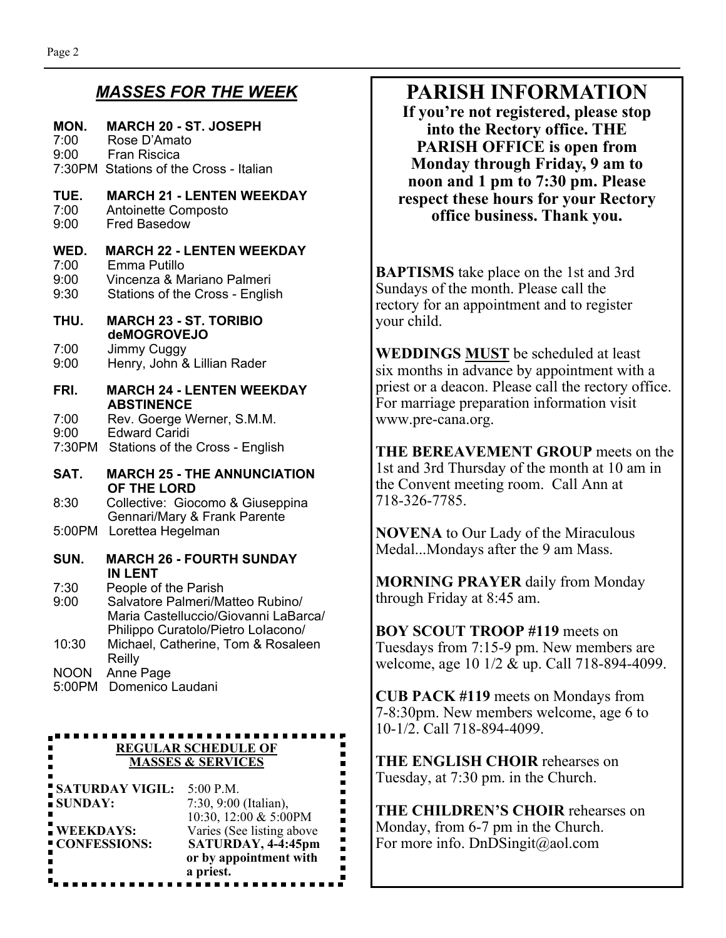#### *MASSES FOR THE WEEK*

#### **MON. MARCH 20 - ST. JOSEPH**  7:00 Rose D'Amato 9:00 Fran Riscica 7:30PM Stations of the Cross - Italian **TUE. MARCH 21 - LENTEN WEEKDAY**  7:00 Antoinette Composto<br>9:00 Fred Basedow Fred Basedow **WED. MARCH 22 - LENTEN WEEKDAY**  7:00 Emma Putillo 9:00 Vincenza & Mariano Palmeri 9:30 Stations of the Cross - English **THU. MARCH 23 - ST. TORIBIO deMOGROVEJO**<br>7:00 Jimmy Cuggy Jimmy Cuggy 9:00 Henry, John & Lillian Rader **FRI. MARCH 24 - LENTEN WEEKDAY ABSTINENCE**  7:00 Rev. Goerge Werner, S.M.M. 9:00 Edward Caridi 7:30PM Stations of the Cross - English **SAT. MARCH 25 - THE ANNUNCIATION OF THE LORD**  8:30 Collective: Giocomo & Giuseppina Gennari/Mary & Frank Parente 5:00PM Lorettea Hegelman **SUN. MARCH 26 - FOURTH SUNDAY IN LENT**  7:30 People of the Parish 9:00 Salvatore Palmeri/Matteo Rubino/ Maria Castelluccio/Giovanni LaBarca/ Philippo Curatolo/Pietro LoIacono/

- 10:30 Michael, Catherine, Tom & Rosaleen Reilly NOON Anne Page
- 5:00PM Domenico Laudani

#### ...................... **REGULAR SCHEDULE OF MASSES & SERVICES**

| <b>SATURDAY VIGIL:</b><br>SUNDAY: | $5:00$ P.M.<br>7:30, 9:00 (Italian),                                     |  |
|-----------------------------------|--------------------------------------------------------------------------|--|
| <b>WEEKDAYS:</b><br>CONFESSIONS:  | 10:30, 12:00 & 5:00PM<br>Varies (See listing above<br>SATURDAY, 4-4:45pm |  |
|                                   | or by appointment with<br>a priest.                                      |  |

# **PARISH INFORMATION**

**If you're not registered, please stop into the Rectory office. THE PARISH OFFICE is open from Monday through Friday, 9 am to noon and 1 pm to 7:30 pm. Please respect these hours for your Rectory office business. Thank you.** 

**BAPTISMS** take place on the 1st and 3rd Sundays of the month. Please call the rectory for an appointment and to register your child.

**WEDDINGS MUST** be scheduled at least six months in advance by appointment with a priest or a deacon. Please call the rectory office. For marriage preparation information visit www.pre-cana.org.

**THE BEREAVEMENT GROUP** meets on the 1st and 3rd Thursday of the month at 10 am in the Convent meeting room. Call Ann at 718-326-7785.

**NOVENA** to Our Lady of the Miraculous Medal...Mondays after the 9 am Mass.

**MORNING PRAYER** daily from Monday through Friday at 8:45 am.

**BOY SCOUT TROOP #119** meets on Tuesdays from 7:15-9 pm. New members are welcome, age 10 1/2 & up. Call 718-894-4099.

**CUB PACK #119** meets on Mondays from 7-8:30pm. New members welcome, age 6 to 10-1/2. Call 718-894-4099.

**THE ENGLISH CHOIR** rehearses on Tuesday, at 7:30 pm. in the Church.

**THE CHILDREN'S CHOIR** rehearses on Monday, from 6-7 pm in the Church. For more info. DnDSingit@aol.com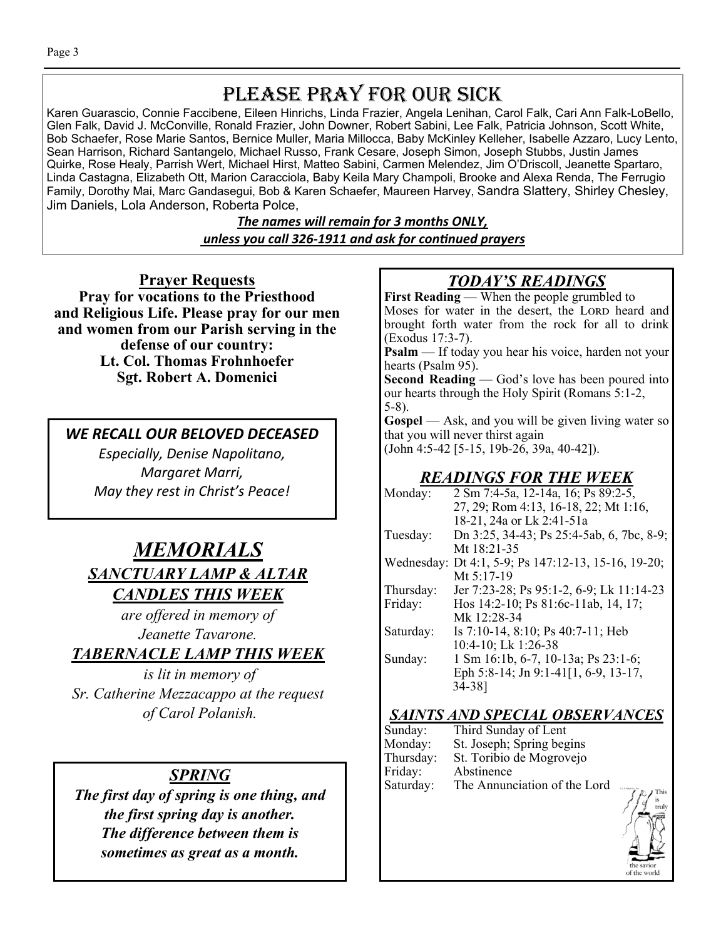# PLEASE PRAY FOR OUR SICK

Karen Guarascio, Connie Faccibene, Eileen Hinrichs, Linda Frazier, Angela Lenihan, Carol Falk, Cari Ann Falk-LoBello, Glen Falk, David J. McConville, Ronald Frazier, John Downer, Robert Sabini, Lee Falk, Patricia Johnson, Scott White, Bob Schaefer, Rose Marie Santos, Bernice Muller, Maria Millocca, Baby McKinley Kelleher, Isabelle Azzaro, Lucy Lento, Sean Harrison, Richard Santangelo, Michael Russo, Frank Cesare, Joseph Simon, Joseph Stubbs, Justin James Quirke, Rose Healy, Parrish Wert, Michael Hirst, Matteo Sabini, Carmen Melendez, Jim O'Driscoll, Jeanette Spartaro, Linda Castagna, Elizabeth Ott, Marion Caracciola, Baby Keila Mary Champoli, Brooke and Alexa Renda, The Ferrugio Family, Dorothy Mai, Marc Gandasegui, Bob & Karen Schaefer, Maureen Harvey, Sandra Slattery, Shirley Chesley, Jim Daniels, Lola Anderson, Roberta Polce,

> *The names will remain for 3 months ONLY, unless you call 326-1911 and ask for conƟnued prayers*

**Prayer Requests Pray for vocations to the Priesthood and Religious Life. Please pray for our men and women from our Parish serving in the defense of our country: Lt. Col. Thomas Frohnhoefer Sgt. Robert A. Domenici** 

*WE RECALL OUR BELOVED DECEASED* 

*Especially, Denise Napolitano, Margaret Marri, May they rest in Christ's Peace!* 

# *MEMORIALS SANCTUARY LAMP & ALTAR CANDLES THIS WEEK*

*are offered in memory of Jeanette Tavarone.* 

*TABERNACLE LAMP THIS WEEK* 

*is lit in memory of Sr. Catherine Mezzacappo at the request of Carol Polanish.* 

*The first day of spring is one thing, and the first spring day is another. The difference between them is sometimes as great as a month.* 

# *TODAY'S READINGS*

**First Reading** — When the people grumbled to Moses for water in the desert, the LORD heard and brought forth water from the rock for all to drink (Exodus 17:3-7).

**Psalm** — If today you hear his voice, harden not your hearts (Psalm 95).

**Second Reading** — God's love has been poured into our hearts through the Holy Spirit (Romans 5:1-2, 5-8).

**Gospel** — Ask, and you will be given living water so that you will never thirst again

(John 4:5-42 [5-15, 19b-26, 39a, 40-42]).

# *READINGS FOR THE WEEK*

| Monday:   | 2 Sm 7:4-5a, 12-14a, 16; Ps 89:2-5,                 |
|-----------|-----------------------------------------------------|
|           | 27, 29; Rom 4:13, 16-18, 22; Mt 1:16,               |
|           | 18-21, 24a or Lk 2:41-51a                           |
| Tuesday:  | Dn 3:25, 34-43; Ps 25:4-5ab, 6, 7bc, 8-9;           |
|           | Mt $18:21-35$                                       |
|           | Wednesday: Dt 4:1, 5-9; Ps 147:12-13, 15-16, 19-20; |
|           | Mt 5:17-19                                          |
| Thursday: | Jer 7:23-28; Ps 95:1-2, 6-9; Lk 11:14-23            |
| Friday:   | Hos 14:2-10; Ps 81:6c-11ab, 14, 17;                 |
|           | Mk 12:28-34                                         |
| Saturday: | Is $7:10-14$ , $8:10$ ; Ps $40:7-11$ ; Heb          |
|           | 10:4-10; Lk 1:26-38                                 |
| Sunday:   | 1 Sm 16:1b, 6-7, 10-13a; Ps 23:1-6;                 |
|           | Eph 5:8-14; Jn 9:1-41[1, 6-9, 13-17,                |
|           | 34-38]                                              |
|           |                                                     |

### *SAINTS AND SPECIAL OBSERVANCES*

|                                                                        | Sunday:   | Third Sunday of Lent         |
|------------------------------------------------------------------------|-----------|------------------------------|
|                                                                        | Monday:   | St. Joseph; Spring begins    |
|                                                                        | Thursday: | St. Toribio de Mogrovejo     |
| SPRING                                                                 | Friday:   | Abstinence                   |
| $\mathcal{C}$ and the state of the state of the state of $\mathcal{A}$ | Saturday: | The Annunciation of the Lord |

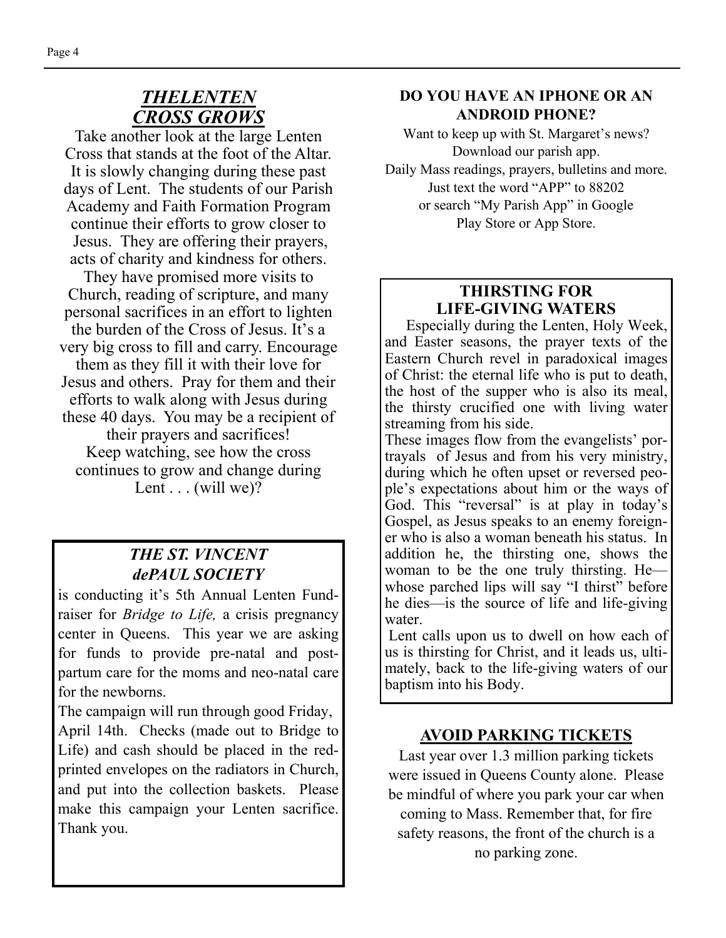# *THELENTEN CROSS GROWS*

Take another look at the large Lenten Cross that stands at the foot of the Altar. It is slowly changing during these past days of Lent. The students of our Parish Academy and Faith Formation Program continue their efforts to grow closer to Jesus. They are offering their prayers, acts of charity and kindness for others.

They have promised more visits to Church, reading of scripture, and many personal sacrifices in an effort to lighten the burden of the Cross of Jesus. It's a very big cross to fill and carry. Encourage them as they fill it with their love for Jesus and others. Pray for them and their efforts to walk along with Jesus during these 40 days. You may be a recipient of their prayers and sacrifices! Keep watching, see how the cross continues to grow and change during Lent  $\dots$  (will we)?

## *THE ST. VINCENT dePAUL SOCIETY*

is conducting it's 5th Annual Lenten Fundraiser for *Bridge to Life,* a crisis pregnancy center in Queens. This year we are asking for funds to provide pre-natal and postpartum care for the moms and neo-natal care for the newborns.

The campaign will run through good Friday,

April 14th. Checks (made out to Bridge to Life) and cash should be placed in the redprinted envelopes on the radiators in Church, and put into the collection baskets. Please make this campaign your Lenten sacrifice. Thank you.

#### **DO YOU HAVE AN IPHONE OR AN ANDROID PHONE?**

Want to keep up with St. Margaret's news? Download our parish app. Daily Mass readings, prayers, bulletins and more. Just text the word "APP" to 88202 or search "My Parish App" in Google Play Store or App Store.

# **THIRSTING FOR LIFE-GIVING WATERS**

Especially during the Lenten, Holy Week, and Easter seasons, the prayer texts of the Eastern Church revel in paradoxical images of Christ: the eternal life who is put to death, the host of the supper who is also its meal, the thirsty crucified one with living water streaming from his side.

These images flow from the evangelists' portrayals of Jesus and from his very ministry, during which he often upset or reversed people's expectations about him or the ways of God. This "reversal" is at play in today's Gospel, as Jesus speaks to an enemy foreigner who is also a woman beneath his status. In addition he, the thirsting one, shows the woman to be the one truly thirsting. He whose parched lips will say "I thirst" before he dies—is the source of life and life-giving water.

 Lent calls upon us to dwell on how each of us is thirsting for Christ, and it leads us, ultimately, back to the life-giving waters of our baptism into his Body.

### **AVOID PARKING TICKETS**

Last year over 1.3 million parking tickets were issued in Queens County alone. Please be mindful of where you park your car when coming to Mass. Remember that, for fire safety reasons, the front of the church is a no parking zone.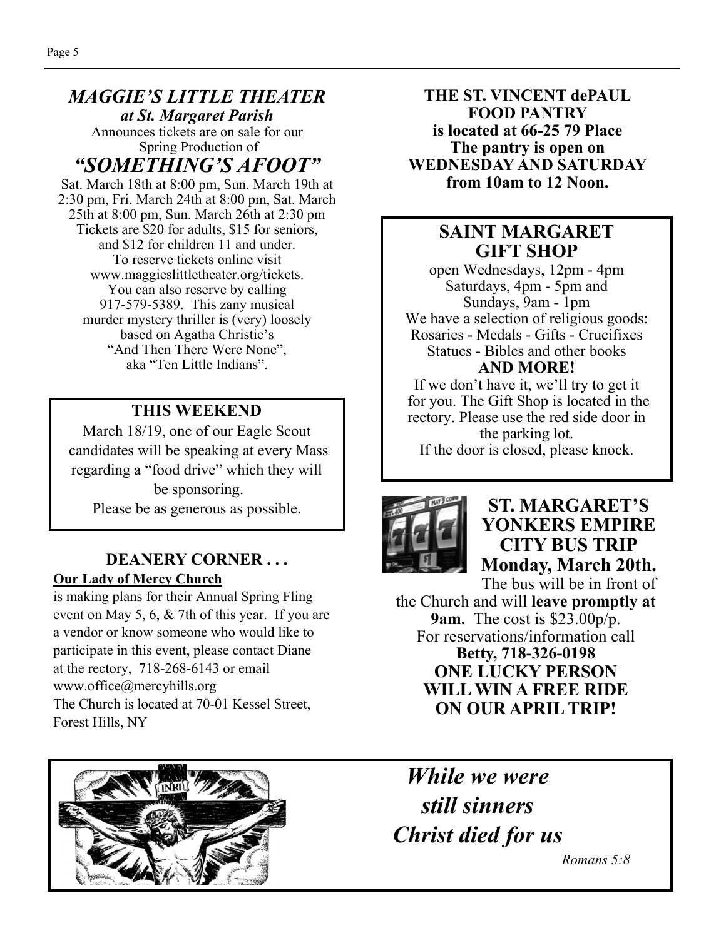#### *MAGGIE'S LITTLE THEATER at St. Margaret Parish*  Announces tickets are on sale for our

 Spring Production of *"SOMETHING'S AFOOT"* 

Sat. March 18th at 8:00 pm, Sun. March 19th at 2:30 pm, Fri. March 24th at 8:00 pm, Sat. March 25th at 8:00 pm, Sun. March 26th at 2:30 pm Tickets are \$20 for adults, \$15 for seniors, and \$12 for children 11 and under. To reserve tickets online visit www.maggieslittletheater.org/tickets. You can also reserve by calling 917-579-5389. This zany musical murder mystery thriller is (very) loosely based on Agatha Christie's "And Then There Were None", aka "Ten Little Indians".

# **THIS WEEKEND**

March 18/19, one of our Eagle Scout candidates will be speaking at every Mass regarding a "food drive" which they will be sponsoring. Please be as generous as possible.

#### **DEANERY CORNER . . . Our Lady of Mercy Church**

is making plans for their Annual Spring Fling event on May 5, 6, & 7th of this year. If you are a vendor or know someone who would like to participate in this event, please contact Diane at the rectory, 718-268-6143 or email www.office@mercyhills.org The Church is located at 70-01 Kessel Street, Forest Hills, NY

**THE ST. VINCENT dePAUL FOOD PANTRY is located at 66-25 79 Place The pantry is open on WEDNESDAY AND SATURDAY from 10am to 12 Noon.** 

# **SAINT MARGARET GIFT SHOP**

open Wednesdays, 12pm - 4pm Saturdays, 4pm - 5pm and Sundays, 9am - 1pm We have a selection of religious goods: Rosaries - Medals - Gifts - Crucifixes Statues - Bibles and other books **AND MORE!** 

If we don't have it, we'll try to get it for you. The Gift Shop is located in the rectory. Please use the red side door in the parking lot. If the door is closed, please knock.



# **ST. MARGARET'S YONKERS EMPIRE CITY BUS TRIP Monday, March 20th.**

The bus will be in front of the Church and will **leave promptly at 9am.** The cost is \$23.00p/p. For reservations/information call **Betty, 718-326-0198 ONE LUCKY PERSON WILL WIN A FREE RIDE ON OUR APRIL TRIP!** 



*While we were still sinners Christ died for us* 

*Romans 5:8*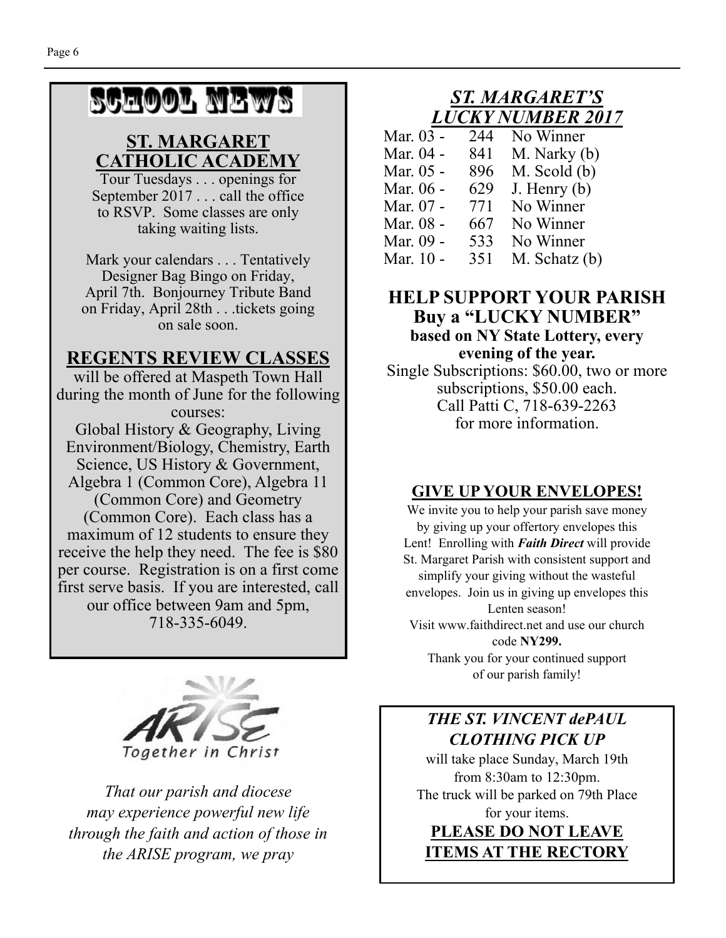# SCHOOL NEWS

# **ST. MARGARET CATHOLIC ACADEMY**

Tour Tuesdays . . . openings for September 2017 . . . call the office to RSVP. Some classes are only taking waiting lists.

Mark your calendars . . . Tentatively Designer Bag Bingo on Friday, April 7th. Bonjourney Tribute Band on Friday, April 28th . . .tickets going on sale soon.

# **REGENTS REVIEW CLASSES**

will be offered at Maspeth Town Hall during the month of June for the following courses:

Global History & Geography, Living Environment/Biology, Chemistry, Earth Science, US History & Government, Algebra 1 (Common Core), Algebra 11 (Common Core) and Geometry (Common Core). Each class has a maximum of 12 students to ensure they receive the help they need. The fee is \$80 per course. Registration is on a first come first serve basis. If you are interested, call our office between 9am and 5pm, 718-335-6049.



*That our parish and diocese may experience powerful new life through the faith and action of those in the ARISE program, we pray* 

# *ST. MARGARET'S LUCKY NUMBER 2017*

| Mar. 03 - | 244 | No Winner        |
|-----------|-----|------------------|
| Mar. 04 - | 841 | M. Narky (b)     |
| Mar. 05 - | 896 | $M.$ Scold $(b)$ |
| Mar. 06 - | 629 | J. Henry $(b)$   |
| Mar. 07 - | 771 | No Winner        |
| Mar. 08 - | 667 | No Winner        |
| Mar. 09 - | 533 | No Winner        |
| Mar. 10 - | 351 | M. Schatz (b)    |

#### **HELP SUPPORT YOUR PARISH Buy a "LUCKY NUMBER" based on NY State Lottery, every evening of the year.**

Single Subscriptions: \$60.00, two or more subscriptions, \$50.00 each. Call Patti C, 718-639-2263 for more information.

# **GIVE UP YOUR ENVELOPES!**

We invite you to help your parish save money by giving up your offertory envelopes this Lent! Enrolling with *Faith Direct* will provide St. Margaret Parish with consistent support and simplify your giving without the wasteful envelopes. Join us in giving up envelopes this Lenten season! Visit www.faithdirect.net and use our church code **NY299.** 

Thank you for your continued support of our parish family!

# *THE ST. VINCENT dePAUL CLOTHING PICK UP*

will take place Sunday, March 19th from 8:30am to 12:30pm. The truck will be parked on 79th Place for your items.

# **PLEASE DO NOT LEAVE ITEMS AT THE RECTORY**